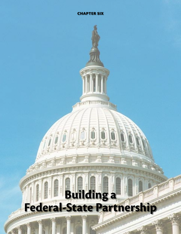# **Building a Federal-State Partnership**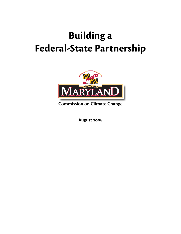## **Building a Federal-State Partnership**



**Commission on Climate Change**

**August 2008**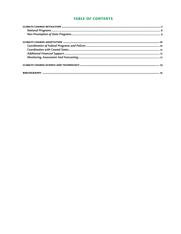## **TABLE OF CONTENTS**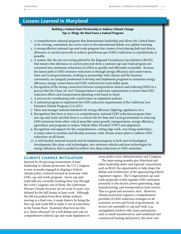## *Lessons Learned in Maryland*

## *Building a Federal-State Partnership to Address Climate Change Top 10 Things We Need From a Federal Program*

- 1. A comprehensive national program that demonstrates leadership and allows the United States to be a strong, committed, pro-active voice in the international debate over global warming.
- 2. A strong effective national cap-and-trade program that creates a level playing field and directs allowance or auction proceeds to achieve greenhouse gas (GHG) reductions as expeditiously as possible.
- 3. A system, like the one now being piloted by the Regional Greenhouse Gas Initiative (RGGI), that insures that allowance or auction proceeds from a national cap-and-trade program are converted into maximum reductions in GHGs as quickly and efficiently as possible. Because the fastest path to GHG emission reductions is through energy efficiency and conservation, State and Local governments, working in partnership with citizens and the business community, are uniquely positioned to develop and implement programs to maximize energy efficiency, energy conservation and GHG reduction for each dollar spent.
- 4. Recognition of the strong connection between transportation choices and reducing GHGs in a process like the Clean Air Act's Transportation Conformity requirements to insure that GHG reduction efforts and transportation planning work hand-in-hand.
- 5. A process for coordinating with coastal states on adaptation policies.
- 6. A national program to implement the GHG reduction requirements of the California Low Emission Vehicle Program (CA LEV).
- 7. More and stronger national standards for energy efficiency (lighting, appliances, etc.).
- 8. Recognition that there is more a to comprehensive, national GHG reduction program than just cap-and-trade and that there is a critical role for State and Local governments in reducing GHG emissions from other critical areas like smart growth, transportation, energy efficiency, agriculture and programs to reduce Vehicle Miles Traveled (VMT) and adaptation.
- 9. Recognition and support for the comprehensive, cutting edge work, now being undertaken in many states to incubate and develop economy-wide climate action plans to address GHG reductions on all fronts.
- 10. A well funded, national research and development program to kick-start technological development, like clean-coal technologies, zero emission vehicles and new technologies for energy efficiency, that is needed to achieve very deep reductions in GHG emissions.

#### *CLIMATE CHANGE MITIGATION*

Spurred by the growing momentum of state leadership in climate protection, the U.S. Congress is now seriously engaged in shaping a federal climate policy centered around an economy-wide GHG cap-and-trade program. Seven cap-andtrade bills are currently working their way through the 110th Congress; one of them, the Lieberman-Warner Climate Security Act of 2008 (S.3036), was debated by the full Senate in June 2008. Although the bill was pulled from floor debate without moving to a final vote, it made history by being the first cap-and-trade bill to make it out of committee to the Senate floor. Seasoned observers see this as a "dress rehearsal" for a full debate and vote on comprehensive federal cap-and-trade legislation in

2009 under a new Administration and Congress.

The intervening months give Maryland and other leadership states and regional consortiums such as RGGI the opportunity to help shape the debate and architecture of the approaching federal regulatory regime. The Congressional cap-andtrade proposals would regulate GHG emissions primarily in the electric power generating, large manufacturing, and transportation fuels sectors. This is a good and necessary start. However, climate protection requires a comprehensive portfolio of GHG reduction strategies in all economic sectors and levels of government. In sectors not amenable to cap and trade (e.g. unregulated markets with many participants, such as small manufacturers and residential and commercial heating and power), the most cost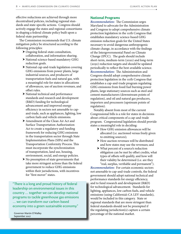effective reductions are achieved through more decentralized policies, including regional standards and state-specific actions. Congress should actively engage the states and regional consortiums in shaping a federal climate policy built upon a federal-state partnership.

The Commission recommends that U.S. climate mitigation policy be structured according to the following principles:

- h Ongoing federal-state consultation, collaboration, and information-sharing.
- h National science-based mandatory GHG reduction goals.
- $\blacktriangleright$  National cap-and-trade legislation covering GHG emissions from power plants, large industrial sources, and producers of transportation fuels and natural gas, with a meaningful role for states in allocations of allowances, use of auction revenues, and offset rules.
- $\blacktriangleright$  National technical and performance standards and research and development (R&D) funding for technological advancement and improved energy efficiency in sectors not amenable to capand-trade, such as appliances, lighting, low carbon fuels and vehicle emissions.
- $\blacktriangleright$  Amendment of the Clean Air Act and Surface Transportation Authorization Act to create a regulatory and funding framework for reducing GHG emissions in the transportation sector through State Implementation Plans (SIPs) and the Transportation Conformity Process. This must incorporate the synchronization of transportation, land use, housing, environment, social, and energy policies.
- $\triangleright$  No preemption of state governments that take more stringent actions than the federal government to reduce GHG emissions within their jurisdictions, with incentives for "first mover" states.

"There is a long and proud history of federal leadership on environmental issues in this country … together we can develop national programs to tackle greenhouse gas emissions … we can transform our carbon based economy into a green sustainable economy."

Governor Martin O'Malley September 2007

### **National Programs**

*Recommendation:* The Commission urges Maryland to advocate for the Administration and Congress to adopt comprehensive climate protection legislation in the 111th Congress that establishes mandatory science-based GHG emission reduction goals for the United States necessary to avoid dangerous anthropogenic climate change, in accordance with the findings of the Intergovernmental Panel on Climate Change (IPCC). The goals should include short-term, medium-term (2020) and long-term (2050) reduction targets and should be updated periodically to reflect the best-available science. *Recommendation:* The Administration and Congress should adopt comprehensive climate protection legislation in the 111th Congress that establishes a cap-and-trade program regulating GHG emissions from fossil fuel burning power plants, large stationary sources such as steel and cement manufacturers (downstream points of regulation), and oil and natural gas producers, importers and processors (upstream points of regulation).

Notably absent from most of the current Congressional bills is a role for states in decisions about critical components of a cap-and-trade program. Congressional legislation should provide states a meaningful role in deciding:

- $\blacktriangleright$  How GHG emission allowances will be allocated (i.e. auctioned versus freely given to emitting sources);
- $\blacktriangleright$  How auction revenues will be distributed and how states may use the revenues; and
- h What percent of a source's reduction obligation can be met by offset credits, what types of offsets will qualify, and how will their validity be determined (i.e. are they "real, surplus, verifiable and permanent").

*Recommendation:* For certain economic sectors not amenable to cap-and-trade controls, the federal government should adopt national technical and performance standards for energy efficiency, and to fund research and development (R&D) for technological advancement. Standards for lighting, appliances, low carbon fuels, and vehicle emissions (using California's CA LEV standards), would be included in this category. State or regional standards that are more stringent than federal standards should not be preempted if the regulating jurisdiction(s) capture a certain percentage of the national market.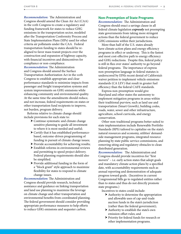*Recommendation:* The Administration and Congress should amend the Clean Air Act (CAA) in the 111th Congress to create a regulatory and funding framework for states to reduce GHG emissions in the transportation sector, modeled after the Transportation Conformity Process and State Implementation Plans (SIPs) used for other criteria air pollutants under the CAA. Federal transportation funding to states should be realigned to favor mass transit projects over the construction and expansion of highway capacity, with financial incentives and disincentives for compliance or non-compliance.

*Recommendation:* The Administration and Congress should amend the Surface Transportation Authorization Act in the 111th Congress to establish appropriate and clear performance standards to minimize impacts from passenger and freight transportation systems and system improvements on GHG emissions while enhancing community and environmental quality. At the same time the amendments should reduce, and not increase, federal requirements on states or other transportation fund recipients to improve, not burden, program delivery.

Reforms relative to climate change should include provisions for each state to:

- $\blacktriangleright$  Continue systematic and climate change sensitive planning to guide all investment to where it is most needed and useful;
- $\blacktriangleright$  Certify that it has established performancebased, outcome-driven programming of funding in pursuit of climate change issues;
- $\triangleright$  Provide accountability for achieving results;
- $\blacktriangleright$  Establish reforms in environmental reviews and permitting to speed project delivery. Federal planning requirements should also be simplified.
- $\triangleright$  Provide additional funding in the form of a "block grant" style approach to maximize flexibility for states to respond to climate change issues.

*Recommendation:* The Administration and Congress should provide research, technical assistance and guidance on linking transportation and land use planning to maximize the leverage on climate change and other transportation and environmental benefits from coordinated planning. The federal government should consider providing appropriate performance measures to help efforts to reduce GHG emissions and sequester carbon.

#### **Non-Preemption of State Programs**

*Recommendation:* The Administration and Congress should enact a savings clause in all federal climate legislation *expressly* not preempting state governments from taking more stringent actions than the federal government to reduce GHG emissions within their jurisdictions.

More than half of the U.S. states already have climate action plans and energy efficiency programs in effect or underway. This is the fastest and most cost-effective path to energy efficiency and GHG reductions. Despite this, federal policy is still in flux over states' authority to go beyond federal programs. The importance of express non-preemption language in federal statutes is underscored by EPA's recent denial of California's waiver petition to implement vehicle emissions standards (CA LEV) that result in greater fuel efficiency than the federal CAFE standards.

Express non-preemption would give Maryland and other states the autonomy to implement mitigation programs in areas within their traditional purview, such as land use and transportation (Smart Growth), building codes, roads, water, sewer and other infrastructure, agriculture, school curricula, and energy conservation.

Other non-traditional programs better suited to state implementation include Renewable Portfolio Standards (RPS) tailored to capitalize on the state's natural resources and economy, utilities' demandside management programs, integrated resource planning by state public service commissions, and removing siting and regulatory obstacles to clean distributed generation.

*Recommendation:* The Administration and Congress should provide incentives for "first movers" – i.e. early action states that adopt goals and mandatory climate action plans by a specified date, with accountability requirements such as annual reporting and demonstration of adequate progress toward goals. (Incentives in current Congressional bills go to regulated entities rather than to states and thus do not directly promote state programs.)

Incentives to states could include:

- $\blacktriangleright$  Authority to determine the appropriation and allowable uses of cap-and-trade auction funds in the state's jurisdiction (rather than the federal government);
- $\blacktriangleright$  Authority to establish the state's own emission offset rules; and
- h Priority for federal funds for research or other implementation programs.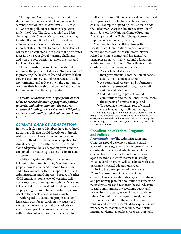The Supreme Court recognized the stake that states have in regulating GHG emissions in its seminal decision in *Massachusetts v. EPA* that GHGs are air pollutants subject to regulation under the CAA. The Court rebuffed the EPA's challenge to the State of Massachusetts' standing to bring the lawsuit. It found that as a state vulnerable to sea level rise, Massachusetts had important state interests to protect. Maryland of course is also vulnerable, but each of the fifty states faces its own set of global warming challenges and is in the best position to assess the risks and implement solutions.

The Administration and Congress should recognize the primacy of states as "first responders" in protecting the health, safety and welfare of their citizens, economies, natural resources, and built environments, and to leave them the autonomy to continue their leadership and be the "laboratories for innovation" in climate protection.

*The recommendations below, specifically as they relate to the coordination of programs, policies, research, and information and the need for additional funding, are as relevant to Mitigation as they are Adaptation and should be considered for each.*

#### *CLIMATE CHANGE ADAPTATION*

In the 110th Congress, Members have introduced numerous bills that would directly or indirectly address climate change. However, only a few of these bills address the issue of adaptation to climate change. Currently, there are no standalone adaptation bills; adaptation provisions are contained in broader legislation on climate action or research.

While mitigation of GHGs is necessary to help minimize future impacts, Maryland must prepare now to adapt and respond to existing and future impacts with the support of the next Administration and Congress. Because of earlier GHG emissions, some level of warming will occur regardless of mitigation activity. Maryland believes that the nation should strategically focus on preparing communities and natural systems to adapt to the effects of a changing climate.

With regard to adaptation, proposed federal legislation calls for research on the causes and effects of climate change and on methods to measure and predict climate change; and the authorization of grants or other incentives to

affected communities (e.g., coastal communities) to prepare for the potential effects of climate change. Examples of pending legislation include the Lieberman-Warner Climate Security Act of 2008 (S.3036), the National Climate Program Act (S 2355), and the Global Change Research Improvement Act of 2007 (S. 2307).

Maryland has been collaborating with the Coastal States Organization\* to document the nature and status of the coastal states' efforts related to climate change and has identified principles upon which any national adaptation legislation should be based. To facilitate effective coastal adaptation, the nation needs:

- $\blacktriangleright$  A clear federal strategy for intergovernmental coordination on coastal adaptation to climate change;
- $\blacktriangleright$  A coordinated research and information system implemented through observation systems and other tools;
- $\blacktriangleright$  Federal funding to protect coastal communities and the national interest from the impacts of climate change; and
- $\triangleright$  To recognize the critical role of coastal states in adapting to climate change.

\*The Coastal States Organization (CSO) was established in 1970 to represent the Governors of the nation's thirty-five coastal states, commonwealths and territories on legislative and policy issues relating to the sound management of coastal, Great Lakes and ocean resources.

## **Coordination of Federal Programs and Policies**

*Recommendation:* The Administration and Congress should develop a national coastal adaptation strategy to ensure intergovernmental coordination on coastal adaptation to climate change; to clearly define the roles of various agencies; and to identify the mechanisms by which federal programs will coordinate with state partners on coastal adaptation issues.

During the development of the Maryland *Climate Action Plan*, it became evident that a climate change adaptation strategy must address and proactively plan for a multitude of impacts on natural resources and resources-based industries, coastal communities, the economy, public and private infrastructure, as well human health and safety. Not only are the impacts broad, but the mechanisms to address the impacts are wideranging and involve research, data acquisition and management, mapping, modeling, monitoring, integrated planning, public awareness, outreach,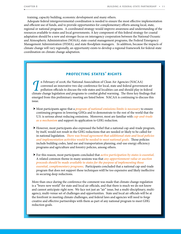training, capacity building, economic development and many others.

Adequate federal intergovernmental coordination is needed to ensure the most effective implementation and efficient use of funds, and to provide opportunities for complementary efforts among local, state, regional or national programs. A coordinated strategy would improve awareness and understanding of the resources available to states and local governments. A key component of this federal strategy for coastal adaptation should be a new and stronger focus on interagency cooperation between the National Oceanic and Atmospheric Administration (NOAA), state coastal management programs, the Federal Emergency Management Administration (FEMA), and state floodplain managers. In addition, because the impacts of climate change will vary regionally, an opportunity exists to develop a regional framework for federal-state coordination on climate change adaptation.

## *Protecting States' Rights*

II n February of 2008, the National Associaltion of Clean Air Agencies (NACAA) convened an innovative two-day conference for local, state and federal governm pollution officials to discuss the role states and localities ca convened an innovative two-day conference for local, state and federal government air pollution officials to discuss the role states and localities can and should play in federal climate change legislation and programs to combat global warming. The three key findings that emerged from this preliminary meeting are listed below. NACAA is continuing to discuss this issue.

- h Most participants agree that a *program of national emissions limits is necessary* to ensure continuing progress in lowering GHGs and to demonstrate to the rest of the world that the U.S. is serious about reducing emissions. Moreover, most are familiar with *cap-and-trade as a mechanism* and support its application to GHG reduction.
- $\blacktriangleright$  However, most participants also expressed the belief that a national cap-and-trade program, by itself, would not result in the GHG reductions that are needed or likely to be called for in national legislation. *There was broad agreement that additional state and local policies and implementation activities would be needed to meet national goals.* Those policies include building codes, land use and transportation planning, end-use energy efficiency programs and agriculture and forestry policies, among others.
- h For this reason, most participants concluded that *active participation by states is essential*. A related common theme in many sessions was that *any apportionment value or auction proceeds should be made available to states for the purpose of implementing those essential, complementary programs*. Participants concluded that a national cap-and-trade program that does not support these techniques witll be too expensive and likely ineffective in securing deep reductions.

More than once during the conference the comment was made that climate change regulation is a "brave new world" for state and local air officials, and that there is much we do not know and cannot anticipate right now. We face not just an "air" issue, but a multi-disciplinary, multiagency, multi-venue set of challenges and opportunities. State and local air officials will be at the forefront in meeting climate challenges, and federal laws and agencies will need to forge creative and effective partnerships with them as part of any national program to meet GHG reduction goals.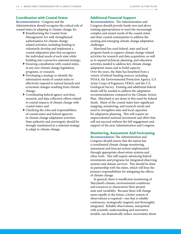## **Coordination with Coastal States**

*Recommendation:* Congress and the Administration should recognize the critical role of coastal states in adapting to climate change, by:

- $\blacktriangleright$  Reauthorizing the Coastal Zone Management Act with strengthened authorization for climate changerelated activities; including funding to voluntarily develop and implement a coastal adaptation plan that recognizes the individual needs of each state while building into a proactive national strategy;
- $\blacktriangleright$  Ensuring consultation with coastal states, in any new climate change legislation, programs, or research;
- $\triangleright$  Developing a strategy to identify the information needs of coastal states to effectively respond to natural hazards and ecosystem changes resulting from climate change;
- $\blacktriangleright$  Coordinating federal agency activities, research, and data collection efforts related to coastal impacts of climate change with coastal states; and
- $\blacktriangleright$  Clarifying the roles and responsibilities of coastal states and federal agencies in climate change adaptation activities. State authority and sovereignty should be strongly maintained in a national strategy to adapt to climate change.

## **Additional Financial Support**

*Recommendation:* The Administration and Congress should provide funds over and above existing appropriations to meet the increasingly complex and unmet needs of the coastal states and their coastal communities to address the existing and emerging climate change adaptation challenges.

Maryland has used federal, state and local program funds to support climate change-related activities for research and data acquisition, as well as to expand technical, planning, and education activities needed to address key climate change adaptation issues and to build capacity. Over the years, the State has benefited from a variety of federal funding sources, including NOAA, the Environmental Protection Agency, U.S. Army Corps of Engineers, FEMA, and the U.S. Geological Survey. Existing and additional federal funds will be needed to address the adaptation recommendations contained in the Climate Action Plan. Maryland is not alone in this need for federal funds. Many of the coastal states have significant mapping, monitoring, and research needs and need to strengthen state and local capacities for adaptation planning. This will require an unprecedented national investment and effort that will not succeed without the full engagement and support of the next Administration and Congress.

## **Monitoring, Assessment And Forecasting**

*Recommendation:* The Administration and Congress should ensure that the nation has a coordinated climate change monitoring, assessment and forecast system implemented through appropriate observation systems and other tools. This will require advancing federal investments and programs for integrated observing systems and climate services. This should be done in partnership with the states, which will bear the primary responsibilities for mitigating the effects of climate change.

In general, there is insufficient monitoring of Maryland's climate, environmental conditions and resources to characterize their present state and variability. Because these will change more rapidly in the future, a better system of observations is required—one that is reliably continuous, strategically targeted, and thoroughly integrated. Reliable observations, interpreted with scientific understanding and innovative models, can dramatically reduce uncertainty about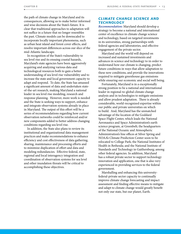the path of climate change in Maryland and its consequences, allowing us to make better informed and wise decisions about the State's future. It is clear that traditional approaches to adaptation will not suffice in a future that no longer resembles the past. Climate models can be downscaled to incorporate locally important phenomena, such as urban heat island and forest cover effects, and resolve important differences across our slice of the mid-Atlantic landscape.

In recognition of the State's vulnerability to sea level rise and its ensuing coastal hazards, Maryland's state agencies have been aggressively acquiring and analyzing various data and technological resources both to gain a better understanding of sea level rise vulnerability and to increase the state and local government capacity to adapt and respond. To date, the State has amassed a significant amount of data and undertaken stateof-the-art research, making Maryland a national leader in sea level rise modeling, research and response planning. However, more work is needed and the State is seeking ways to support, enhance and integrate observation systems already in place in Maryland. The output of this effort will be a series of recommendations regarding how current observation networks could be reinforced and/or new components added to better address changing conditions regarding sea level rise.

In addition, the State also plans to review its institutional and organizational data management practices and make recommendations to enhance efficiency and cost effectiveness of data gathering, sharing, maintenance and processing efforts and to minimize duplication of effort and data and modeling redundancies. Effective federal, state, regional and local interagency integration and coordination of observation systems for sea level and other inundation threats will be critical to accomplishing these objectives.

## *CLIMATE CHANGE SCIENCE AND TECHNOLOGY*

*Recommendation:* Maryland should develop a strategy to become a national and international center of excellence in climate change science and technology, based on targeted investments in its universities, strong partnerships with federal agencies and laboratories, and effective engagement of the private sector.

Maryland and the world will depend on increased and sustained investments and advances in science and technology to in order to understand how our climate is changing, predict future conditions in ways that allow adaptation to these new conditions, and provide the innovations required to mitigate greenhouse gas emissions while ensuring our economic and social well being.

Fortunately, Maryland is in a exceptionally strong position to be a national and international leader in regional-to-global climate change analysis and in technologies to mitigate emissions and allow prudent adaptation. There is already considerable, world-recognized expertise within our public and private universities on which to build. And, Maryland has the unmatched advantage of the location of the Goddard Space Flight Center, which leads the National Aeronautics and Space Administration's earth science program, at Greenbelt; the headquarters of the National Oceanic and Atmospheric Administration's line offices at Silver Spring and NOAA's Climate Prediction Center soon to be relocated to College Park; the National Institutes of Health in Bethesda; and the National Institute of Standards and Technology in Gaithersburg; among other federal agencies. In addition, Maryland has a robust private sector to support technology innovation and application, one that is also very experienced in providing services to the federal government.

Marshalling and enhancing this universityfederal-private sector capacity to continually improve climate change forecasting and impact assessment and finding effective means to mitigate and adapt to climate change would greatly benefit not only our state, but our planet, Earth.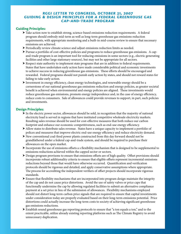## *RGGI Letter to Congress, October 31, 2007 Guiding & Design Principles for a Federal Greenhouse Gas Cap-and-Trade Program*

## **Guiding Principles:**

- h Take action now to establish strong, science-based emissions reduction requirements. A federal program should embody mid-term as well as long-term greenhouse gas emissions reduction requirements, with appropriate monitoring and a built-in mid-course review to ensure that necessary emissions are achieved.
- $\blacktriangleright$  Periodically review climate science and adjust emissions reduction limits as needed.
- h Pursue a portfolio of cost-effective policies and programs to reduce greenhouse gas emissions. A capand-trade program is an important tool for reducing emissions in some sectors (e.g., electric generating facilities and other large stationary sources), but may not be appropriate for all sectors.
- h Respect state authority to implement state programs that are in addition to federal requirements. States that have undertaken early action have made considerable political and economic investments to achieve success in reducing greenhouse gas emissions. These efforts should be encouraged and rewarded. Federal programs should not punish early action by states, and should not reward states for failing to take early action.
- h Investment in energy efficiency, clean energy technologies, and renewable energy should be a cornerstone of our national greenhouse gas emissions reduction and energy policies, as greater societal benefit is achieved when environmental and energy policies are aligned. These investments would reduce greenhouse gas emissions, promote energy independence and, in the case of energy efficiency, reduce costs to consumers. Sale of allowances could provide revenues to support, in part, such policies and investments.

## **Design Principles:**

- $\blacktriangleright$  In the electric power sector, allowances should be sold, in recognition that the majority of national electricity load is served in regions that have instituted competitive wholesale electricity markets. Resulting sales revenue should be used for cost-effective measures that both reduce our carbon footprint and enhance our economic competitiveness, such as end-use energy efficiency.
- $\blacktriangleright$  Allow states to distribute sales revenue. States have a unique capacity to implement a portfolio of polices and measures that improve electric end-use energy efficiency and reduce electricity demand.
- $\blacktriangleright$  New conventional coal-fired power plants constructed from this day forward should not be grandfathered under a federal cap-and-trade system, and should be required to purchase their allowances on the open market.
- $\triangleright$  Incorporate the use of emissions offsets a s flexibility mechanism that is designed to be supplemental to emissions reductions achieved within the capped sector or sectors.
- h Design program provisons to ensure that emissions offsets are of high quality. Offset provisions should incorporate robust additionality criteria to ensure that eligible offsets represent incremental emissions reductions beyond those that would have otherwise occurred. Quantification and verification protocols should be rigorous and detailed, and apply conservative assumptions where appropriate. The process for accrediting the independent verifiers of offset projects should incorporate rigorous standards.
- $\triangleright$  Ensure that flexibility mechanisms that are incorporated into program design maintain the integrity of the cap and do not cause price distortions. Avoid the use of safety valves or price caps that functionally undermine the cap by allowing regulated facilities to submit an alternative compliance payment at a set price in lieu of the submission of allowances. Flexibility mechanisms employed should not distort long-term carbon price signals that are required to ensure that capital investiments under consideration today are properly evaluated based on their long-term emissions potential. Price distortions could actually increase the long-term costs to society of achieving significant greenhouse gas emissions reductions.
- h Establish sound greenhouse gas reporting protocols to ensure that "a ton equals a ton," and to the extent practicable, utilize already existing reporting platforms such as The Climate Registry to avoid unnecessary duplication.